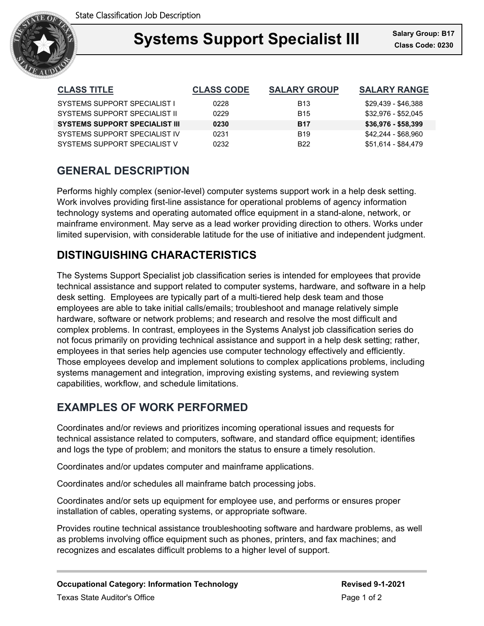

### **Support Specialist III** Salary Gro **Systems Support Specialist III Class Code: 0230**

| <b>CLASS TITLE</b>                    | <b>CLASS CODE</b> | <b>SALARY GROUP</b> | <b>SALARY RANGE</b> |
|---------------------------------------|-------------------|---------------------|---------------------|
| SYSTEMS SUPPORT SPECIALIST I          | 0228              | B <sub>13</sub>     | \$29,439 - \$46,388 |
| SYSTEMS SUPPORT SPECIAL IST IL        | 0229              | <b>B</b> 15         | \$32,976 - \$52,045 |
| <b>SYSTEMS SUPPORT SPECIALIST III</b> | 0230              | <b>B17</b>          | $$36,976 - $58,399$ |
| SYSTEMS SUPPORT SPECIAL IST IV        | 0231              | <b>B19</b>          | \$42,244 - \$68,960 |
| SYSTEMS SUPPORT SPECIAL IST V         | 0232              | B <sub>22</sub>     | \$51,614 - \$84,479 |

## **GENERAL DESCRIPTION**

Performs highly complex (senior-level) computer systems support work in a help desk setting. Work involves providing first-line assistance for operational problems of agency information technology systems and operating automated office equipment in a stand-alone, network, or mainframe environment. May serve as a lead worker providing direction to others. Works under limited supervision, with considerable latitude for the use of initiative and independent judgment.

# **DISTINGUISHING CHARACTERISTICS**

The Systems Support Specialist job classification series is intended for employees that provide technical assistance and support related to computer systems, hardware, and software in a help desk setting. Employees are typically part of a multi-tiered help desk team and those employees are able to take initial calls/emails; troubleshoot and manage relatively simple hardware, software or network problems; and research and resolve the most difficult and complex problems. In contrast, employees in the Systems Analyst job classification series do not focus primarily on providing technical assistance and support in a help desk setting; rather, employees in that series help agencies use computer technology effectively and efficiently. Those employees develop and implement solutions to complex applications problems, including systems management and integration, improving existing systems, and reviewing system capabilities, workflow, and schedule limitations.

## **EXAMPLES OF WORK PERFORMED**

Coordinates and/or reviews and prioritizes incoming operational issues and requests for technical assistance related to computers, software, and standard office equipment; identifies and logs the type of problem; and monitors the status to ensure a timely resolution.

Coordinates and/or updates computer and mainframe applications.

Coordinates and/or schedules all mainframe batch processing jobs.

Coordinates and/or sets up equipment for employee use, and performs or ensures proper installation of cables, operating systems, or appropriate software.

Provides routine technical assistance troubleshooting software and hardware problems, as well as problems involving office equipment such as phones, printers, and fax machines; and recognizes and escalates difficult problems to a higher level of support.